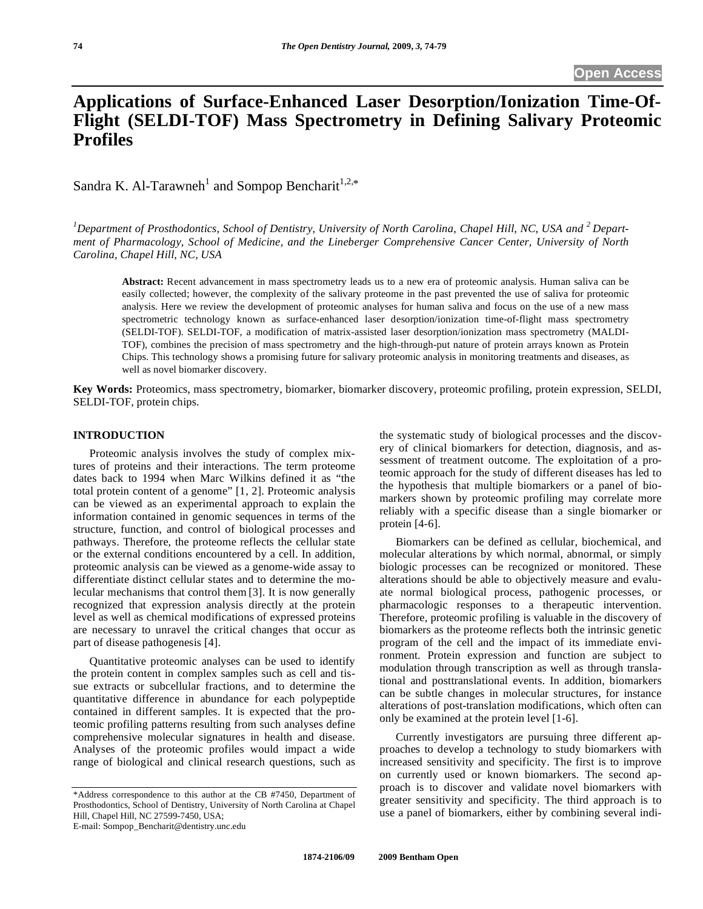# **Applications of Surface-Enhanced Laser Desorption/Ionization Time-Of-Flight (SELDI-TOF) Mass Spectrometry in Defining Salivary Proteomic Profiles**

Sandra K. Al-Tarawneh<sup>1</sup> and Sompop Bencharit<sup>1,2,\*</sup>

<sup>1</sup>Department of Prosthodontics, School of Dentistry, University of North Carolina, Chapel Hill, NC, USA and <sup>2</sup> Depart*ment of Pharmacology, School of Medicine, and the Lineberger Comprehensive Cancer Center, University of North Carolina, Chapel Hill, NC, USA* 

**Abstract:** Recent advancement in mass spectrometry leads us to a new era of proteomic analysis. Human saliva can be easily collected; however, the complexity of the salivary proteome in the past prevented the use of saliva for proteomic analysis. Here we review the development of proteomic analyses for human saliva and focus on the use of a new mass spectrometric technology known as surface-enhanced laser desorption/ionization time-of-flight mass spectrometry (SELDI-TOF). SELDI-TOF, a modification of matrix-assisted laser desorption/ionization mass spectrometry (MALDI-TOF), combines the precision of mass spectrometry and the high-through-put nature of protein arrays known as Protein Chips. This technology shows a promising future for salivary proteomic analysis in monitoring treatments and diseases, as well as novel biomarker discovery.

**Key Words:** Proteomics, mass spectrometry, biomarker, biomarker discovery, proteomic profiling, protein expression, SELDI, SELDI-TOF, protein chips.

# **INTRODUCTION**

 Proteomic analysis involves the study of complex mixtures of proteins and their interactions. The term proteome dates back to 1994 when Marc Wilkins defined it as "the total protein content of a genome" [1, 2]. Proteomic analysis can be viewed as an experimental approach to explain the information contained in genomic sequences in terms of the structure, function, and control of biological processes and pathways. Therefore, the proteome reflects the cellular state or the external conditions encountered by a cell. In addition, proteomic analysis can be viewed as a genome-wide assay to differentiate distinct cellular states and to determine the molecular mechanisms that control them [3]. It is now generally recognized that expression analysis directly at the protein level as well as chemical modifications of expressed proteins are necessary to unravel the critical changes that occur as part of disease pathogenesis [4].

 Quantitative proteomic analyses can be used to identify the protein content in complex samples such as cell and tissue extracts or subcellular fractions, and to determine the quantitative difference in abundance for each polypeptide contained in different samples. It is expected that the proteomic profiling patterns resulting from such analyses define comprehensive molecular signatures in health and disease. Analyses of the proteomic profiles would impact a wide range of biological and clinical research questions, such as

E-mail: Sompop\_Bencharit@dentistry.unc.edu

the systematic study of biological processes and the discovery of clinical biomarkers for detection, diagnosis, and assessment of treatment outcome. The exploitation of a proteomic approach for the study of different diseases has led to the hypothesis that multiple biomarkers or a panel of biomarkers shown by proteomic profiling may correlate more reliably with a specific disease than a single biomarker or protein [4-6].

 Biomarkers can be defined as cellular, biochemical, and molecular alterations by which normal, abnormal, or simply biologic processes can be recognized or monitored. These alterations should be able to objectively measure and evaluate normal biological process, pathogenic processes, or pharmacologic responses to a therapeutic intervention. Therefore, proteomic profiling is valuable in the discovery of biomarkers as the proteome reflects both the intrinsic genetic program of the cell and the impact of its immediate environment. Protein expression and function are subject to modulation through transcription as well as through translational and posttranslational events. In addition, biomarkers can be subtle changes in molecular structures, for instance alterations of post-translation modifications, which often can only be examined at the protein level [1-6].

 Currently investigators are pursuing three different approaches to develop a technology to study biomarkers with increased sensitivity and specificity. The first is to improve on currently used or known biomarkers. The second approach is to discover and validate novel biomarkers with greater sensitivity and specificity. The third approach is to use a panel of biomarkers, either by combining several indi-

<sup>\*</sup>Address correspondence to this author at the CB #7450, Department of Prosthodontics, School of Dentistry, University of North Carolina at Chapel Hill, Chapel Hill, NC 27599-7450, USA;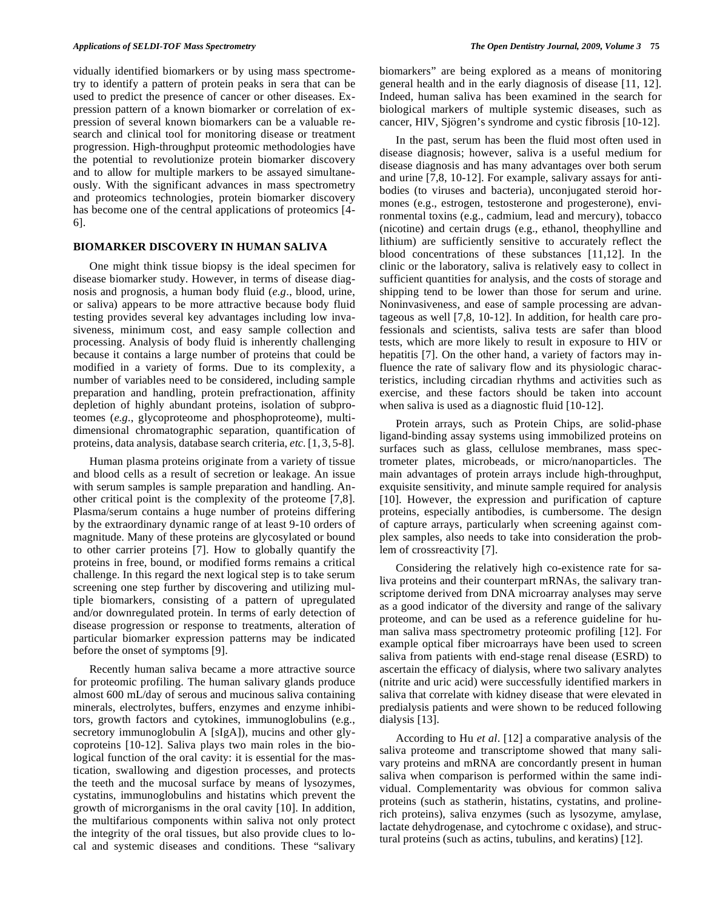vidually identified biomarkers or by using mass spectrometry to identify a pattern of protein peaks in sera that can be used to predict the presence of cancer or other diseases. Expression pattern of a known biomarker or correlation of expression of several known biomarkers can be a valuable research and clinical tool for monitoring disease or treatment progression. High-throughput proteomic methodologies have the potential to revolutionize protein biomarker discovery and to allow for multiple markers to be assayed simultaneously. With the significant advances in mass spectrometry and proteomics technologies, protein biomarker discovery has become one of the central applications of proteomics [4- 6].

# **BIOMARKER DISCOVERY IN HUMAN SALIVA**

 One might think tissue biopsy is the ideal specimen for disease biomarker study. However, in terms of disease diagnosis and prognosis, a human body fluid (*e.g*., blood, urine, or saliva) appears to be more attractive because body fluid testing provides several key advantages including low invasiveness, minimum cost, and easy sample collection and processing. Analysis of body fluid is inherently challenging because it contains a large number of proteins that could be modified in a variety of forms. Due to its complexity, a number of variables need to be considered, including sample preparation and handling, protein prefractionation, affinity depletion of highly abundant proteins, isolation of subproteomes (*e.g*., glycoproteome and phosphoproteome), multidimensional chromatographic separation, quantification of proteins, data analysis, database search criteria, *etc.*[1, 3, 5-8].

 Human plasma proteins originate from a variety of tissue and blood cells as a result of secretion or leakage. An issue with serum samples is sample preparation and handling. Another critical point is the complexity of the proteome [7,8]. Plasma/serum contains a huge number of proteins differing by the extraordinary dynamic range of at least 9-10 orders of magnitude. Many of these proteins are glycosylated or bound to other carrier proteins [7]. How to globally quantify the proteins in free, bound, or modified forms remains a critical challenge. In this regard the next logical step is to take serum screening one step further by discovering and utilizing multiple biomarkers, consisting of a pattern of upregulated and/or downregulated protein. In terms of early detection of disease progression or response to treatments, alteration of particular biomarker expression patterns may be indicated before the onset of symptoms [9].

 Recently human saliva became a more attractive source for proteomic profiling. The human salivary glands produce almost 600 mL/day of serous and mucinous saliva containing minerals, electrolytes, buffers, enzymes and enzyme inhibitors, growth factors and cytokines, immunoglobulins (e.g., secretory immunoglobulin A [sIgA]), mucins and other glycoproteins [10-12]. Saliva plays two main roles in the biological function of the oral cavity: it is essential for the mastication, swallowing and digestion processes, and protects the teeth and the mucosal surface by means of lysozymes, cystatins, immunoglobulins and histatins which prevent the growth of microrganisms in the oral cavity [10]. In addition, the multifarious components within saliva not only protect the integrity of the oral tissues, but also provide clues to local and systemic diseases and conditions. These "salivary

biomarkers" are being explored as a means of monitoring general health and in the early diagnosis of disease [11, 12]. Indeed, human saliva has been examined in the search for biological markers of multiple systemic diseases, such as cancer, HIV, Sjögren's syndrome and cystic fibrosis [10-12].

 In the past, serum has been the fluid most often used in disease diagnosis; however, saliva is a useful medium for disease diagnosis and has many advantages over both serum and urine [7,8, 10-12]. For example, salivary assays for antibodies (to viruses and bacteria), unconjugated steroid hormones (e.g., estrogen, testosterone and progesterone), environmental toxins (e.g., cadmium, lead and mercury), tobacco (nicotine) and certain drugs (e.g., ethanol, theophylline and lithium) are sufficiently sensitive to accurately reflect the blood concentrations of these substances [11,12]. In the clinic or the laboratory, saliva is relatively easy to collect in sufficient quantities for analysis, and the costs of storage and shipping tend to be lower than those for serum and urine. Noninvasiveness, and ease of sample processing are advantageous as well [7,8, 10-12]. In addition, for health care professionals and scientists, saliva tests are safer than blood tests, which are more likely to result in exposure to HIV or hepatitis [7]. On the other hand, a variety of factors may influence the rate of salivary flow and its physiologic characteristics, including circadian rhythms and activities such as exercise, and these factors should be taken into account when saliva is used as a diagnostic fluid [10-12].

 Protein arrays, such as Protein Chips, are solid-phase ligand-binding assay systems using immobilized proteins on surfaces such as glass, cellulose membranes, mass spectrometer plates, microbeads, or micro/nanoparticles. The main advantages of protein arrays include high-throughput, exquisite sensitivity, and minute sample required for analysis [10]. However, the expression and purification of capture proteins, especially antibodies, is cumbersome. The design of capture arrays, particularly when screening against complex samples, also needs to take into consideration the problem of crossreactivity [7].

 Considering the relatively high co-existence rate for saliva proteins and their counterpart mRNAs, the salivary transcriptome derived from DNA microarray analyses may serve as a good indicator of the diversity and range of the salivary proteome, and can be used as a reference guideline for human saliva mass spectrometry proteomic profiling [12]. For example optical fiber microarrays have been used to screen saliva from patients with end-stage renal disease (ESRD) to ascertain the efficacy of dialysis, where two salivary analytes (nitrite and uric acid) were successfully identified markers in saliva that correlate with kidney disease that were elevated in predialysis patients and were shown to be reduced following dialysis [13].

 According to Hu *et al*. [12] a comparative analysis of the saliva proteome and transcriptome showed that many salivary proteins and mRNA are concordantly present in human saliva when comparison is performed within the same individual. Complementarity was obvious for common saliva proteins (such as statherin, histatins, cystatins, and prolinerich proteins), saliva enzymes (such as lysozyme, amylase, lactate dehydrogenase, and cytochrome c oxidase), and structural proteins (such as actins, tubulins, and keratins) [12].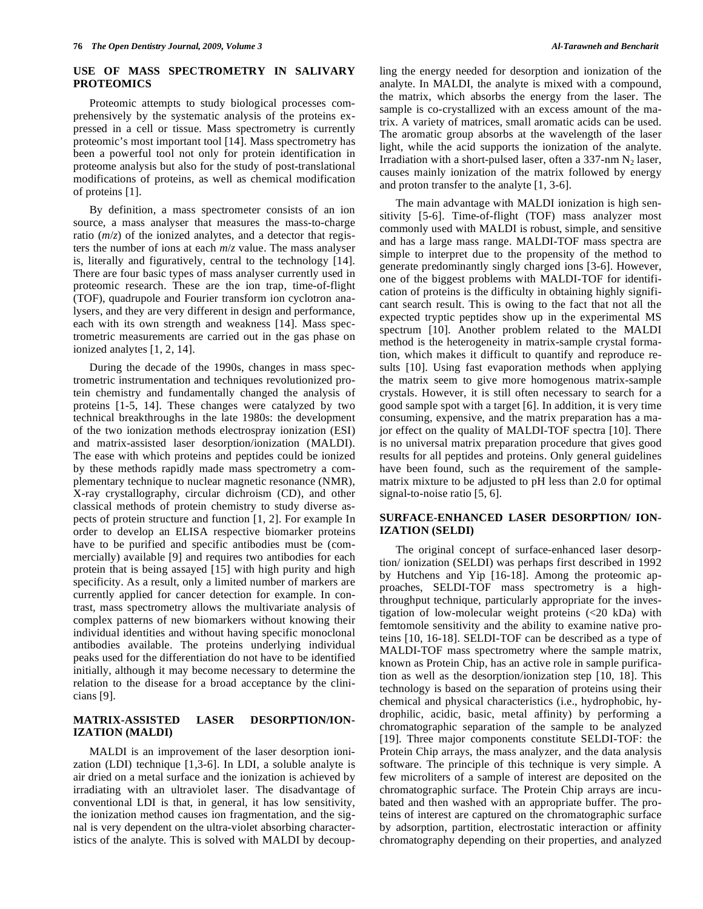# **USE OF MASS SPECTROMETRY IN SALIVARY PROTEOMICS**

 Proteomic attempts to study biological processes comprehensively by the systematic analysis of the proteins expressed in a cell or tissue. Mass spectrometry is currently proteomic's most important tool [14]. Mass spectrometry has been a powerful tool not only for protein identification in proteome analysis but also for the study of post-translational modifications of proteins, as well as chemical modification of proteins [1].

 By definition, a mass spectrometer consists of an ion source, a mass analyser that measures the mass-to-charge ratio  $(m/z)$  of the ionized analytes, and a detector that registers the number of ions at each *m*/*z* value. The mass analyser is, literally and figuratively, central to the technology [14]. There are four basic types of mass analyser currently used in proteomic research. These are the ion trap, time-of-flight (TOF), quadrupole and Fourier transform ion cyclotron analysers, and they are very different in design and performance, each with its own strength and weakness [14]. Mass spectrometric measurements are carried out in the gas phase on ionized analytes [1, 2, 14].

 During the decade of the 1990s, changes in mass spectrometric instrumentation and techniques revolutionized protein chemistry and fundamentally changed the analysis of proteins [1-5, 14]. These changes were catalyzed by two technical breakthroughs in the late 1980s: the development of the two ionization methods electrospray ionization (ESI) and matrix-assisted laser desorption/ionization (MALDI). The ease with which proteins and peptides could be ionized by these methods rapidly made mass spectrometry a complementary technique to nuclear magnetic resonance (NMR), X-ray crystallography, circular dichroism (CD), and other classical methods of protein chemistry to study diverse aspects of protein structure and function [1, 2]. For example In order to develop an ELISA respective biomarker proteins have to be purified and specific antibodies must be (commercially) available [9] and requires two antibodies for each protein that is being assayed [15] with high purity and high specificity. As a result, only a limited number of markers are currently applied for cancer detection for example. In contrast, mass spectrometry allows the multivariate analysis of complex patterns of new biomarkers without knowing their individual identities and without having specific monoclonal antibodies available. The proteins underlying individual peaks used for the differentiation do not have to be identified initially, although it may become necessary to determine the relation to the disease for a broad acceptance by the clinicians [9].

# **MATRIX-ASSISTED LASER DESORPTION/ION-IZATION (MALDI)**

 MALDI is an improvement of the laser desorption ionization (LDI) technique [1,3-6]. In LDI, a soluble analyte is air dried on a metal surface and the ionization is achieved by irradiating with an ultraviolet laser. The disadvantage of conventional LDI is that, in general, it has low sensitivity, the ionization method causes ion fragmentation, and the signal is very dependent on the ultra-violet absorbing characteristics of the analyte. This is solved with MALDI by decoupling the energy needed for desorption and ionization of the analyte. In MALDI, the analyte is mixed with a compound, the matrix, which absorbs the energy from the laser. The sample is co-crystallized with an excess amount of the matrix. A variety of matrices, small aromatic acids can be used. The aromatic group absorbs at the wavelength of the laser light, while the acid supports the ionization of the analyte. Irradiation with a short-pulsed laser, often a  $337$ -nm N<sub>2</sub> laser, causes mainly ionization of the matrix followed by energy and proton transfer to the analyte [1, 3-6].

 The main advantage with MALDI ionization is high sensitivity [5-6]. Time-of-flight (TOF) mass analyzer most commonly used with MALDI is robust, simple, and sensitive and has a large mass range. MALDI-TOF mass spectra are simple to interpret due to the propensity of the method to generate predominantly singly charged ions [3-6]. However, one of the biggest problems with MALDI-TOF for identification of proteins is the difficulty in obtaining highly significant search result. This is owing to the fact that not all the expected tryptic peptides show up in the experimental MS spectrum [10]. Another problem related to the MALDI method is the heterogeneity in matrix-sample crystal formation, which makes it difficult to quantify and reproduce results [10]. Using fast evaporation methods when applying the matrix seem to give more homogenous matrix-sample crystals. However, it is still often necessary to search for a good sample spot with a target [6]. In addition, it is very time consuming, expensive, and the matrix preparation has a major effect on the quality of MALDI-TOF spectra [10]. There is no universal matrix preparation procedure that gives good results for all peptides and proteins. Only general guidelines have been found, such as the requirement of the samplematrix mixture to be adjusted to pH less than 2.0 for optimal signal-to-noise ratio [5, 6].

# **SURFACE-ENHANCED LASER DESORPTION/ ION-IZATION (SELDI)**

 The original concept of surface-enhanced laser desorption/ ionization (SELDI) was perhaps first described in 1992 by Hutchens and Yip [16-18]. Among the proteomic approaches, SELDI-TOF mass spectrometry is a highthroughput technique, particularly appropriate for the investigation of low-molecular weight proteins (<20 kDa) with femtomole sensitivity and the ability to examine native proteins [10, 16-18]. SELDI-TOF can be described as a type of MALDI-TOF mass spectrometry where the sample matrix, known as Protein Chip, has an active role in sample purification as well as the desorption/ionization step [10, 18]. This technology is based on the separation of proteins using their chemical and physical characteristics (i.e., hydrophobic, hydrophilic, acidic, basic, metal affinity) by performing a chromatographic separation of the sample to be analyzed [19]. Three major components constitute SELDI-TOF: the Protein Chip arrays, the mass analyzer, and the data analysis software. The principle of this technique is very simple. A few microliters of a sample of interest are deposited on the chromatographic surface. The Protein Chip arrays are incubated and then washed with an appropriate buffer. The proteins of interest are captured on the chromatographic surface by adsorption, partition, electrostatic interaction or affinity chromatography depending on their properties, and analyzed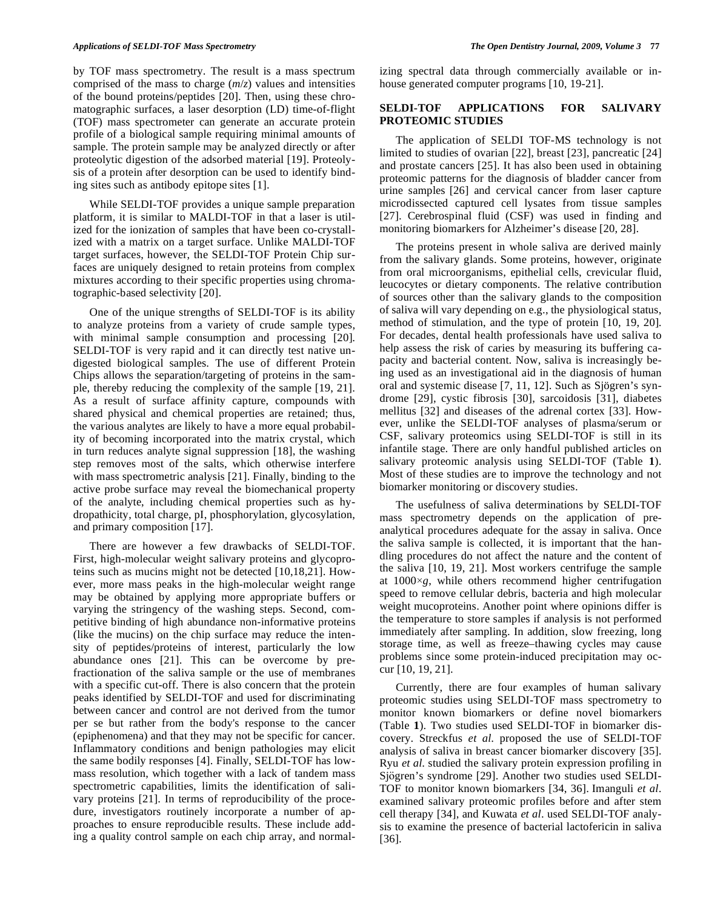by TOF mass spectrometry. The result is a mass spectrum comprised of the mass to charge (*m*/*z*) values and intensities of the bound proteins/peptides [20]. Then, using these chromatographic surfaces, a laser desorption (LD) time-of-flight (TOF) mass spectrometer can generate an accurate protein profile of a biological sample requiring minimal amounts of sample. The protein sample may be analyzed directly or after proteolytic digestion of the adsorbed material [19]. Proteolysis of a protein after desorption can be used to identify binding sites such as antibody epitope sites [1].

 While SELDI-TOF provides a unique sample preparation platform, it is similar to MALDI-TOF in that a laser is utilized for the ionization of samples that have been co-crystallized with a matrix on a target surface. Unlike MALDI-TOF target surfaces, however, the SELDI-TOF Protein Chip surfaces are uniquely designed to retain proteins from complex mixtures according to their specific properties using chromatographic-based selectivity [20].

 One of the unique strengths of SELDI-TOF is its ability to analyze proteins from a variety of crude sample types, with minimal sample consumption and processing [20]. SELDI-TOF is very rapid and it can directly test native undigested biological samples. The use of different Protein Chips allows the separation/targeting of proteins in the sample, thereby reducing the complexity of the sample [19, 21]. As a result of surface affinity capture, compounds with shared physical and chemical properties are retained; thus, the various analytes are likely to have a more equal probability of becoming incorporated into the matrix crystal, which in turn reduces analyte signal suppression [18], the washing step removes most of the salts, which otherwise interfere with mass spectrometric analysis [21]. Finally, binding to the active probe surface may reveal the biomechanical property of the analyte, including chemical properties such as hydropathicity, total charge, pI, phosphorylation, glycosylation, and primary composition [17].

 There are however a few drawbacks of SELDI-TOF. First, high-molecular weight salivary proteins and glycoproteins such as mucins might not be detected [10,18,21]. However, more mass peaks in the high-molecular weight range may be obtained by applying more appropriate buffers or varying the stringency of the washing steps. Second, competitive binding of high abundance non-informative proteins (like the mucins) on the chip surface may reduce the intensity of peptides/proteins of interest, particularly the low abundance ones [21]. This can be overcome by prefractionation of the saliva sample or the use of membranes with a specific cut-off. There is also concern that the protein peaks identified by SELDI-TOF and used for discriminating between cancer and control are not derived from the tumor per se but rather from the body's response to the cancer (epiphenomena) and that they may not be specific for cancer. Inflammatory conditions and benign pathologies may elicit the same bodily responses [4]. Finally, SELDI-TOF has lowmass resolution, which together with a lack of tandem mass spectrometric capabilities, limits the identification of salivary proteins [21]. In terms of reproducibility of the procedure, investigators routinely incorporate a number of approaches to ensure reproducible results. These include adding a quality control sample on each chip array, and normalizing spectral data through commercially available or inhouse generated computer programs [10, 19-21].

#### **SELDI-TOF APPLICATIONS FOR SALIVARY PROTEOMIC STUDIES**

 The application of SELDI TOF-MS technology is not limited to studies of ovarian [22], breast [23], pancreatic [24] and prostate cancers [25]. It has also been used in obtaining proteomic patterns for the diagnosis of bladder cancer from urine samples [26] and cervical cancer from laser capture microdissected captured cell lysates from tissue samples [27]. Cerebrospinal fluid (CSF) was used in finding and monitoring biomarkers for Alzheimer's disease [20, 28].

 The proteins present in whole saliva are derived mainly from the salivary glands. Some proteins, however, originate from oral microorganisms, epithelial cells, crevicular fluid, leucocytes or dietary components. The relative contribution of sources other than the salivary glands to the composition of saliva will vary depending on e.g., the physiological status, method of stimulation, and the type of protein [10, 19, 20]. For decades, dental health professionals have used saliva to help assess the risk of caries by measuring its buffering capacity and bacterial content. Now, saliva is increasingly being used as an investigational aid in the diagnosis of human oral and systemic disease [7, 11, 12]. Such as Sjögren's syndrome [29], cystic fibrosis [30], sarcoidosis [31], diabetes mellitus [32] and diseases of the adrenal cortex [33]. However, unlike the SELDI-TOF analyses of plasma/serum or CSF, salivary proteomics using SELDI-TOF is still in its infantile stage. There are only handful published articles on salivary proteomic analysis using SELDI-TOF (Table **1**). Most of these studies are to improve the technology and not biomarker monitoring or discovery studies.

 The usefulness of saliva determinations by SELDI-TOF mass spectrometry depends on the application of preanalytical procedures adequate for the assay in saliva. Once the saliva sample is collected, it is important that the handling procedures do not affect the nature and the content of the saliva [10, 19, 21]. Most workers centrifuge the sample at  $1000 \times g$ , while others recommend higher centrifugation speed to remove cellular debris, bacteria and high molecular weight mucoproteins. Another point where opinions differ is the temperature to store samples if analysis is not performed immediately after sampling. In addition, slow freezing, long storage time, as well as freeze–thawing cycles may cause problems since some protein-induced precipitation may occur [10, 19, 21].

 Currently, there are four examples of human salivary proteomic studies using SELDI-TOF mass spectrometry to monitor known biomarkers or define novel biomarkers (Table **1**). Two studies used SELDI-TOF in biomarker discovery. Streckfus *et al*. proposed the use of SELDI-TOF analysis of saliva in breast cancer biomarker discovery [35]. Ryu *et al*. studied the salivary protein expression profiling in Sjgren's syndrome [29]. Another two studies used SELDI-TOF to monitor known biomarkers [34, 36]. Imanguli *et al*. examined salivary proteomic profiles before and after stem cell therapy [34], and Kuwata *et al*. used SELDI-TOF analysis to examine the presence of bacterial lactofericin in saliva [36].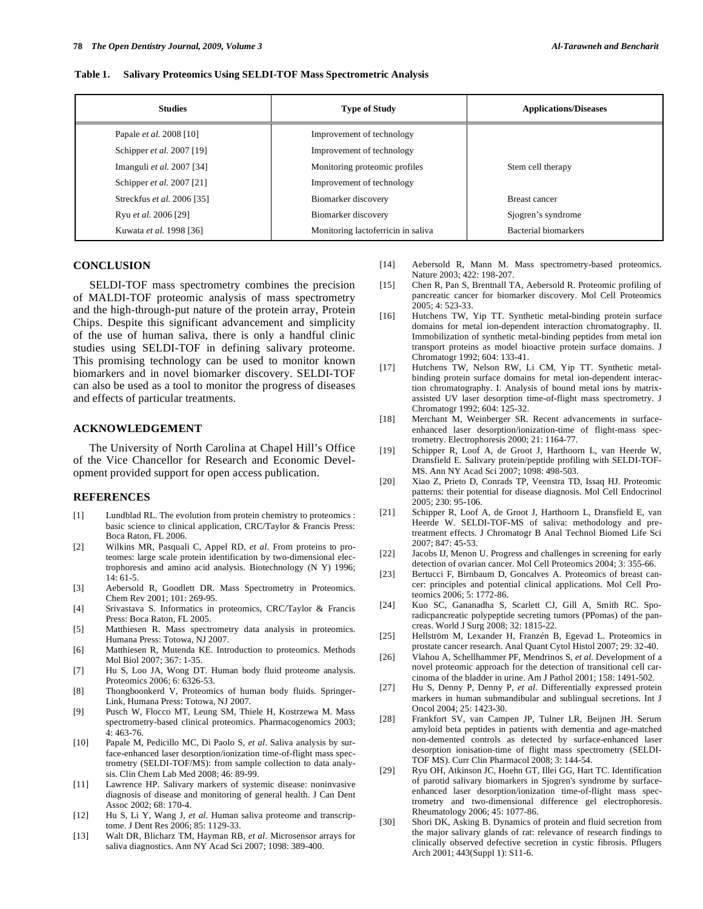| Table 1. |  | <b>Salivary Proteomics Using SELDI-TOF Mass Spectrometric Analysis</b> |
|----------|--|------------------------------------------------------------------------|
|          |  |                                                                        |

| <b>Studies</b>                   | <b>Type of Study</b>               | <b>Applications/Diseases</b> |
|----------------------------------|------------------------------------|------------------------------|
| Papale <i>et al.</i> 2008 [10]   | Improvement of technology          |                              |
| Schipper <i>et al.</i> 2007 [19] | Improvement of technology          |                              |
| Imanguli et al. 2007 [34]        | Monitoring proteomic profiles      | Stem cell therapy            |
| Schipper et al. 2007 [21]        | Improvement of technology          |                              |
| Streckfus et al. 2006 [35]       | Biomarker discovery                | <b>Breast cancer</b>         |
| Ryu et al. 2006 [29]             | Biomarker discovery                | Sjogren's syndrome           |
| Kuwata et al. 1998 [36]          | Monitoring lactoferricin in saliva | Bacterial biomarkers         |

#### **CONCLUSION**

 SELDI-TOF mass spectrometry combines the precision of MALDI-TOF proteomic analysis of mass spectrometry and the high-through-put nature of the protein array, Protein Chips. Despite this significant advancement and simplicity of the use of human saliva, there is only a handful clinic studies using SELDI-TOF in defining salivary proteome. This promising technology can be used to monitor known biomarkers and in novel biomarker discovery. SELDI-TOF can also be used as a tool to monitor the progress of diseases and effects of particular treatments.

### **ACKNOWLEDGEMENT**

 The University of North Carolina at Chapel Hill's Office of the Vice Chancellor for Research and Economic Development provided support for open access publication.

# **REFERENCES**

- [1] Lundblad RL. The evolution from protein chemistry to proteomics : basic science to clinical application, CRC/Taylor & Francis Press: Boca Raton, FL 2006.
- [2] Wilkins MR, Pasquali C, Appel RD, *et al*. From proteins to proteomes: large scale protein identification by two-dimensional electrophoresis and amino acid analysis. Biotechnology (N Y) 1996; 14: 61-5.
- [3] Aebersold R, Goodlett DR. Mass Spectrometry in Proteomics. Chem Rev 2001; 101: 269-95.
- [4] Srivastava S. Informatics in proteomics, CRC/Taylor & Francis Press: Boca Raton, FL 2005.
- [5] Matthiesen R. Mass spectrometry data analysis in proteomics. Humana Press: Totowa, NJ 2007.
- [6] Matthiesen R, Mutenda KE. Introduction to proteomics. Methods Mol Biol 2007; 367: 1-35.
- [7] Hu S, Loo JA, Wong DT. Human body fluid proteome analysis. Proteomics 2006; 6: 6326-53.
- [8] Thongboonkerd V, Proteomics of human body fluids. Springer-Link, Humana Press: Totowa, NJ 2007.
- [9] Pusch W, Flocco MT, Leung SM, Thiele H, Kostrzewa M. Mass spectrometry-based clinical proteomics. Pharmacogenomics 2003; 4: 463-76.
- [10] Papale M, Pedicillo MC, Di Paolo S, *et al*. Saliva analysis by surface-enhanced laser desorption/ionization time-of-flight mass spectrometry (SELDI-TOF/MS): from sample collection to data analysis. Clin Chem Lab Med 2008; 46: 89-99.
- [11] Lawrence HP. Salivary markers of systemic disease: noninvasive diagnosis of disease and monitoring of general health. J Can Dent Assoc 2002; 68: 170-4.
- [12] Hu S, Li Y, Wang J, *et al*. Human saliva proteome and transcriptome. J Dent Res 2006; 85: 1129-33.
- [13] Walt DR, Blicharz TM, Hayman RB, *et al*. Microsensor arrays for saliva diagnostics. Ann NY Acad Sci 2007; 1098: 389-400.
- [14] Aebersold R, Mann M. Mass spectrometry-based proteomics. Nature 2003; 422: 198-207.
- [15] Chen R, Pan S, Brentnall TA, Aebersold R. Proteomic profiling of pancreatic cancer for biomarker discovery. Mol Cell Proteomics 2005; 4: 523-33.
- [16] Hutchens TW, Yip TT. Synthetic metal-binding protein surface domains for metal ion-dependent interaction chromatography. II. Immobilization of synthetic metal-binding peptides from metal ion transport proteins as model bioactive protein surface domains. J Chromatogr 1992; 604: 133-41.
- [17] Hutchens TW, Nelson RW, Li CM, Yip TT. Synthetic metalbinding protein surface domains for metal ion-dependent interaction chromatography. I. Analysis of bound metal ions by matrixassisted UV laser desorption time-of-flight mass spectrometry. J Chromatogr 1992; 604: 125-32.
- [18] Merchant M, Weinberger SR. Recent advancements in surfaceenhanced laser desorption/ionization-time of flight-mass spectrometry. Electrophoresis 2000; 21: 1164-77.
- [19] Schipper R, Loof A, de Groot J, Harthoorn L, van Heerde W, Dransfield E. Salivary protein/peptide profiling with SELDI-TOF-MS. Ann NY Acad Sci 2007; 1098: 498-503.
- [20] Xiao Z, Prieto D, Conrads TP, Veenstra TD, Issaq HJ. Proteomic patterns: their potential for disease diagnosis. Mol Cell Endocrinol 2005; 230: 95-106.
- [21] Schipper R, Loof A, de Groot J, Harthoorn L, Dransfield E, van Heerde W. SELDI-TOF-MS of saliva: methodology and pretreatment effects. J Chromatogr B Anal Technol Biomed Life Sci 2007; 847: 45-53.
- [22] Jacobs IJ, Menon U. Progress and challenges in screening for early detection of ovarian cancer. Mol Cell Proteomics 2004; 3: 355-66.
- [23] Bertucci F, Birnbaum D, Goncalves A. Proteomics of breast cancer: principles and potential clinical applications. Mol Cell Proteomics 2006; 5: 1772-86.
- [24] Kuo SC, Gananadha S, Scarlett CJ, Gill A, Smith RC. Sporadicpancreatic polypeptide secreting tumors (PPomas) of the pancreas. World J Surg 2008; 32: 1815-22.
- [25] Hellström M, Lexander H, Franzén B, Egevad L. Proteomics in prostate cancer research. Anal Quant Cytol Histol 2007; 29: 32-40.
- [26] Vlahou A, Schellhammer PF, Mendrinos S, *et al*. Development of a novel proteomic approach for the detection of transitional cell carcinoma of the bladder in urine. Am J Pathol 2001; 158: 1491-502.
- [27] Hu S, Denny P, Denny P, *et al*. Differentially expressed protein markers in human submandibular and sublingual secretions. Int J Oncol 2004; 25: 1423-30.
- [28] Frankfort SV, van Campen JP, Tulner LR, Beijnen JH. Serum amyloid beta peptides in patients with dementia and age-matched non-demented controls as detected by surface-enhanced laser desorption ionisation-time of flight mass spectrometry (SELDI-TOF MS). Curr Clin Pharmacol 2008; 3: 144-54.
- [29] Ryu OH, Atkinson JC, Hoehn GT, Illei GG, Hart TC. Identification of parotid salivary biomarkers in Sjogren's syndrome by surfaceenhanced laser desorption/ionization time-of-flight mass spectrometry and two-dimensional difference gel electrophoresis. Rheumatology 2006; 45: 1077-86.
- [30] Shori DK, Asking B. Dynamics of protein and fluid secretion from the major salivary glands of rat: relevance of research findings to clinically observed defective secretion in cystic fibrosis. Pflugers Arch 2001; 443(Suppl 1): S11-6.